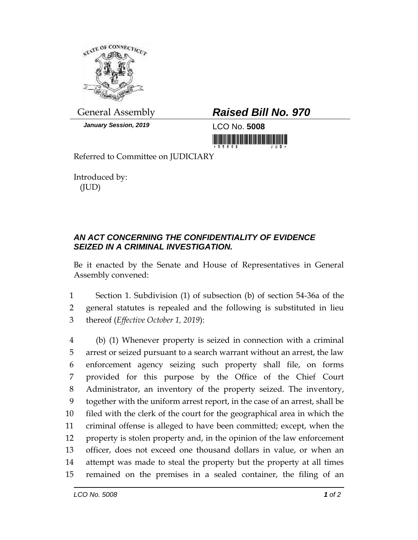

*January Session, 2019* LCO No. **5008**

## General Assembly *Raised Bill No. 970*

<u> Indian American State (Indian American Sta</u>

Referred to Committee on JUDICIARY

Introduced by: (JUD)

## *AN ACT CONCERNING THE CONFIDENTIALITY OF EVIDENCE SEIZED IN A CRIMINAL INVESTIGATION.*

Be it enacted by the Senate and House of Representatives in General Assembly convened:

1 Section 1. Subdivision (1) of subsection (b) of section 54-36a of the 2 general statutes is repealed and the following is substituted in lieu 3 thereof (*Effective October 1, 2019*):

 (b) (1) Whenever property is seized in connection with a criminal arrest or seized pursuant to a search warrant without an arrest, the law enforcement agency seizing such property shall file, on forms provided for this purpose by the Office of the Chief Court Administrator, an inventory of the property seized. The inventory, together with the uniform arrest report, in the case of an arrest, shall be filed with the clerk of the court for the geographical area in which the criminal offense is alleged to have been committed; except, when the property is stolen property and, in the opinion of the law enforcement officer, does not exceed one thousand dollars in value, or when an attempt was made to steal the property but the property at all times remained on the premises in a sealed container, the filing of an